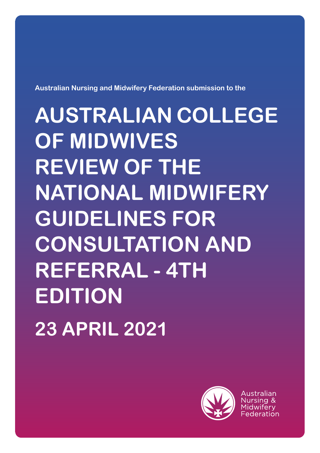**Australian Nursing and Midwifery Federation submission to the**

**AUSTRALIAN COLLEGE OF MIDWIVES REVIEW OF THE NATIONAL MIDWIFERY GUIDELINES FOR CONSULTATION AND REFERRAL - 4TH EDITION 23 APRIL 2021**



Australian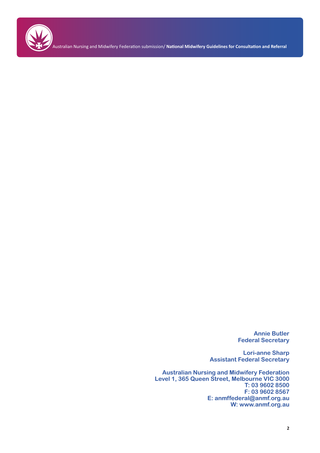

Australian Nursing and Midwifery Federation submission/ **National Midwifery Guidelines for Consultation and Referral**

**Annie Butler Federal Secretary**

**Lori-anne Sharp Assistant Federal Secretary**

**Australian Nursing and Midwifery Federation Level 1, 365 Queen Street, Melbourne VIC 3000 T: 03 9602 8500 F: 03 9602 8567 E: anmffederal@anmf.org.au W: www.anmf.org.au**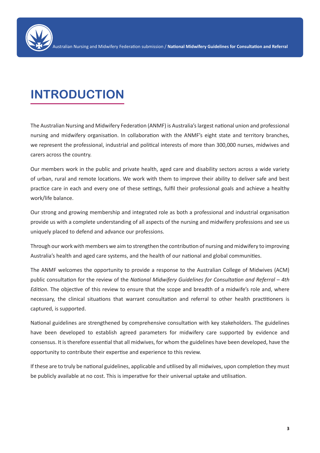

# **INTRODUCTION**

The Australian Nursing and Midwifery Federation (ANMF) is Australia's largest national union and professional nursing and midwifery organisation. In collaboration with the ANMF's eight state and territory branches, we represent the professional, industrial and political interests of more than 300,000 nurses, midwives and carers across the country.

Our members work in the public and private health, aged care and disability sectors across a wide variety of urban, rural and remote locations. We work with them to improve their ability to deliver safe and best practice care in each and every one of these settings, fulfil their professional goals and achieve a healthy work/life balance.

Our strong and growing membership and integrated role as both a professional and industrial organisation provide us with a complete understanding of all aspects of the nursing and midwifery professions and see us uniquely placed to defend and advance our professions.

Through our work with members we aim to strengthen the contribution of nursing and midwifery to improving Australia's health and aged care systems, and the health of our national and global communities.

The ANMF welcomes the opportunity to provide a response to the Australian College of Midwives (ACM) public consultation for the review of the *National Midwifery Guidelines for Consultation and Referral – 4th Edition*. The objective of this review to ensure that the scope and breadth of a midwife's role and, where necessary, the clinical situations that warrant consultation and referral to other health practitioners is captured, is supported.

National guidelines are strengthened by comprehensive consultation with key stakeholders. The guidelines have been developed to establish agreed parameters for midwifery care supported by evidence and consensus. It is therefore essential that all midwives, for whom the guidelines have been developed, have the opportunity to contribute their expertise and experience to this review.

If these are to truly be national guidelines, applicable and utilised by all midwives, upon completion they must be publicly available at no cost. This is imperative for their universal uptake and utilisation.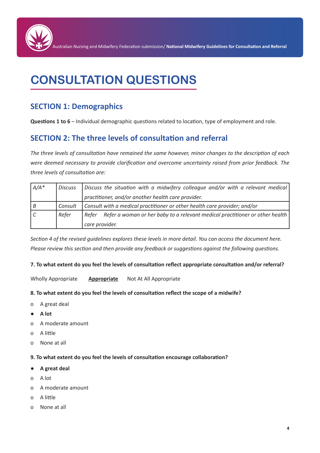

# **CONSULTATION QUESTIONS**

# **SECTION 1: Demographics**

**Questions 1 to 6** – Individual demographic questions related to location, type of employment and role.

# **SECTION 2: The three levels of consultation and referral**

*The three levels of consultation have remained the same however, minor changes to the description of each were deemed necessary to provide clarification and overcome uncertainty raised from prior feedback. The three levels of consultation are:*

| $A/A^*$ | Discuss | Discuss the situation with a midwifery colleague and/or with a relevant medical       |
|---------|---------|---------------------------------------------------------------------------------------|
|         |         | practitioner, and/or another health care provider.                                    |
| B       | Consult | Consult with a medical practitioner or other health care provider; and/or             |
|         | Refer   | Refer a woman or her baby to a relevant medical practitioner or other health<br>Refer |
|         |         | care provider.                                                                        |

*Section 4 of the revised guidelines explores these levels in more detail. You can access the document here. Please review this section and then provide any feedback or suggestions against the following questions.*

#### **7. To what extent do you feel the levels of consultation reflect appropriate consultation and/or referral?**

Wholly Appropriate **Appropriate** Not At All Appropriate

#### **8. To what extent do you feel the levels of consultation reflect the scope of a midwife?**

- o A great deal
- **● A lot**
- o A moderate amount
- o A little
- o None at all

#### **9. To what extent do you feel the levels of consultation encourage collaboration?**

- **● A great deal**
- o A lot
- o A moderate amount
- o A little
- o None at all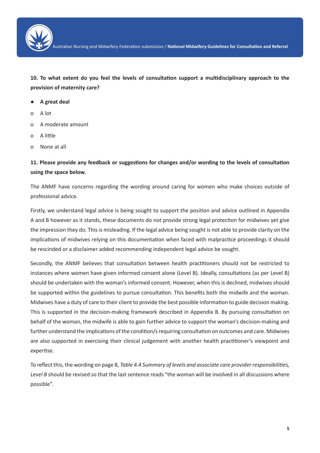

Australian Nursing and Midwifery Federation submission / **National Midwifery Guidelines for Consultation and Referral**

**10. To what extent do you feel the levels of consultation support a multidisciplinary approach to the provision of maternity care?**

- **● A great deal**
- o A lot
- o A moderate amount
- o A little
- o None at all

## **11. Please provide any feedback or suggestions for changes and/or wording to the levels of consultation using the space below.**

The ANMF have concerns regarding the wording around caring for women who make choices outside of professional advice.

Firstly, we understand legal advice is being sought to support the position and advice outlined in Appendix A and B however as it stands, these documents do not provide strong legal protection for midwives yet give the impression they do. This is misleading. If the legal advice being sought is not able to provide clarity on the implications of midwives relying on this documentation when faced with malpractice proceedings it should be rescinded or a disclaimer added recommending independent legal advice be sought.

Secondly, the ANMF believes that consultation between health practitioners should not be restricted to instances where women have given informed consent alone (Level B). Ideally, consultations (as per Level B) should be undertaken with the woman's informed consent. However, when this is declined, midwives should be supported within the guidelines to pursue consultation. This benefits both the midwife and the woman. Midwives have a duty of care to their client to provide the best possible information to guide decision making. This is supported in the decision-making framework described in Appendix B. By pursuing consultation on behalf of the woman, the midwife is able to gain further advice to support the woman's decision-making and further understand the implications of the condition/s requiring consultation on outcomes and care. Midwives are also supported in exercising their clinical judgement with another health practitioner's viewpoint and expertise.

To reflect this, the wording on page 8, *Table 4.4 Summary of levels and associate care provider responsibilities, Level B* should be revised so that the last sentence reads "the woman will be involved in all discussions where possible".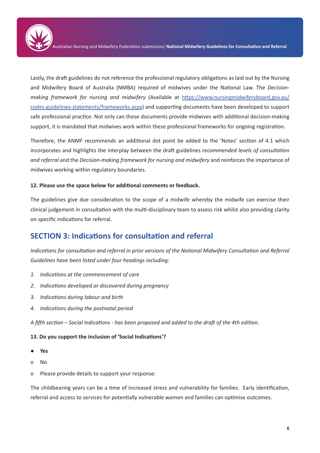

Lastly, the draft guidelines do not reference the professional regulatory obligations as laid out by the Nursing and Midwifery Board of Australia (NMBA) required of midwives under the National Law. The *Decisionmaking framework for nursing and midwifery* (Available at https://www.nursingmidwiferyboard.gov.au/ codes-guidelines-statements/frameworks.aspx) and supporting documents have been developed to support safe professional practice. Not only can these documents provide midwives with additional decision-making support, it is mandated that midwives work within these professional frameworks for ongoing registration.

Therefore, the ANMF recommends an additional dot point be added to the 'Notes' section of 4.1 which incorporates and highlights the interplay between the draft guidelines r*ecommended levels of consultation and referral* and the *Decision-making framework for nursing and midwifery* and reinforces the importance of midwives working within regulatory boundaries.

## **12. Please use the space below for additional comments or feedback.**

The guidelines give due consideration to the scope of a midwife whereby the midwife can exercise their clinical judgement in consultation with the multi-disciplinary team to assess risk whilst also providing clarity on specific indications for referral.

# **SECTION 3: Indications for consultation and referral**

*Indications for consultation and referral in prior versions of the National Midwifery Consultation and Referral Guidelines have been listed under four headings including:*

- *1. Indications at the commencement of care*
- *2. Indications developed or discovered during pregnancy*
- *3. Indications during labour and birth*
- *4. Indications during the postnatal period*

*A fifth section – Social Indications - has been proposed and added to the draft of the 4th edition.*

#### **13. Do you support the inclusion of 'Social Indications'?**

- **● Yes**
- o No
- o Please provide details to support your response:

The childbearing years can be a time of increased stress and vulnerability for families. Early identification, referral and access to services for potentially vulnerable women and families can optimise outcomes.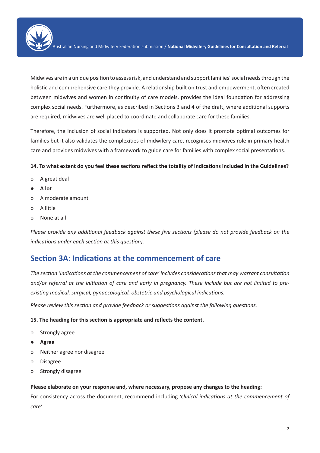

Midwives are in a unique position to assess risk, and understand and support families' social needs through the holistic and comprehensive care they provide. A relationship built on trust and empowerment, often created between midwives and women in continuity of care models, provides the ideal foundation for addressing complex social needs. Furthermore, as described in Sections 3 and 4 of the draft, where additional supports are required, midwives are well placed to coordinate and collaborate care for these families.

Therefore, the inclusion of social indicators is supported. Not only does it promote optimal outcomes for families but it also validates the complexities of midwifery care, recognises midwives role in primary health care and provides midwives with a framework to guide care for families with complex social presentations.

## **14. To what extent do you feel these sections reflect the totality of indications included in the Guidelines?**

- o A great deal
- **● A lot**
- o A moderate amount
- o A little
- o None at all

*Please provide any additional feedback against these five sections (please do not provide feedback on the indications under each section at this question).*

# **Section 3A: Indications at the commencement of care**

*The section 'Indications at the commencement of care' includes considerations that may warrant consultation and/or referral at the initiation of care and early in pregnancy. These include but are not limited to preexisting medical, surgical, gynaecological, obstetric and psychological indications.*

*Please review this section and provide feedback or suggestions against the following questions.*

#### **15. The heading for this section is appropriate and reflects the content.**

- o Strongly agree
- **● Agree**
- o Neither agree nor disagree
- o Disagree
- o Strongly disagree

#### **Please elaborate on your response and, where necessary, propose any changes to the heading:**

For consistency across the document, recommend including 'c*linical indications at the commencement of care'*.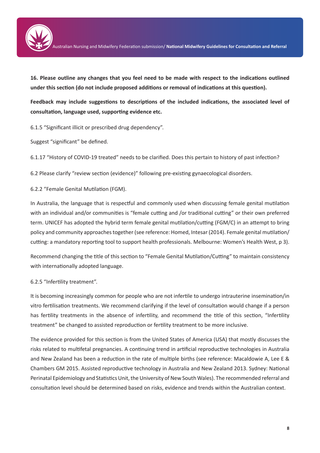

**16. Please outline any changes that you feel need to be made with respect to the indications outlined under this section (do not include proposed additions or removal of indications at this question).** 

**Feedback may include suggestions to descriptions of the included indications, the associated level of consultation, language used, supporting evidence etc.**

6.1.5 "Significant illicit or prescribed drug dependency".

Suggest "significant" be defined.

6.1.17 "History of COVID-19 treated" needs to be clarified. Does this pertain to history of past infection?

6.2 Please clarify "review section (evidence)" following pre-existing gynaecological disorders.

6.2.2 "Female Genital Mutilation (FGM).

In Australia, the language that is respectful and commonly used when discussing female genital mutilation with an individual and/or communities is "female cutting and /or traditional cutting" or their own preferred term. UNICEF has adopted the hybrid term female genital mutilation/cutting (FGM/C) in an attempt to bring policy and community approaches together (see reference: Homed, Intesar (2014). Female genital mutilation/ cutting: a mandatory reporting tool to support health professionals. Melbourne: Women's Health West, p 3).

Recommend changing the title of this section to "Female Genital Mutilation/Cutting" to maintain consistency with internationally adopted language.

## 6.2.5 "Infertility treatment".

It is becoming increasingly common for people who are not infertile to undergo intrauterine insemination/in vitro fertilisation treatments. We recommend clarifying if the level of consultation would change if a person has fertility treatments in the absence of infertility, and recommend the title of this section, "Infertility treatment" be changed to assisted reproduction or fertility treatment to be more inclusive.

The evidence provided for this section is from the United States of America (USA) that mostly discusses the risks related to multifetal pregnancies. A continuing trend in artificial reproductive technologies in Australia and New Zealand has been a reduction in the rate of multiple births (see reference: Macaldowie A, Lee E & Chambers GM 2015. Assisted reproductive technology in Australia and New Zealand 2013. Sydney: National Perinatal Epidemiology and Statistics Unit, the University of New South Wales). The recommended referral and consultation level should be determined based on risks, evidence and trends within the Australian context.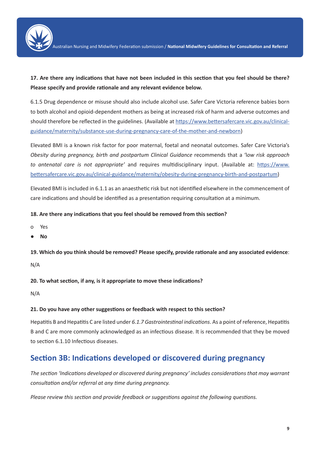

# **17. Are there any indications that have not been included in this section that you feel should be there? Please specify and provide rationale and any relevant evidence below.**

6.1.5 Drug dependence or misuse should also include alcohol use. Safer Care Victoria reference babies born to both alcohol and opioid-dependent mothers as being at increased risk of harm and adverse outcomes and should therefore be reflected in the guidelines. (Available at https://www.bettersafercare.vic.gov.au/clinicalguidance/maternity/substance-use-during-pregnancy-care-of-the-mother-and-newborn)

Elevated BMI is a known risk factor for poor maternal, foetal and neonatal outcomes. Safer Care Victoria's *Obesity during pregnancy, birth and postpartum Clinical Guidance* recommends that a 'l*ow risk approach to antenatal care is not appropriate'* and requires multidisciplinary input. (Available at: https://www. bettersafercare.vic.gov.au/clinical-guidance/maternity/obesity-during-pregnancy-birth-and-postpartum)

Elevated BMI is included in 6.1.1 as an anaesthetic risk but not identified elsewhere in the commencement of care indications and should be identified as a presentation requiring consultation at a minimum.

## **18. Are there any indications that you feel should be removed from this section?**

- o Yes
- **● No**

**19. Which do you think should be removed? Please specify, provide rationale and any associated evidence**:

N/A

**20. To what section, if any, is it appropriate to move these indications?**

N/A

## **21. Do you have any other suggestions or feedback with respect to this section?**

Hepatitis B and Hepatitis C are listed under *6.1.7 Gastrointestinal indications*. As a point of reference, Hepatitis B and C are more commonly acknowledged as an infectious disease. It is recommended that they be moved to section 6.1.10 Infectious diseases.

# **Section 3B: Indications developed or discovered during pregnancy**

*The section 'Indications developed or discovered during pregnancy' includes considerations that may warrant consultation and/or referral at any time during pregnancy.*

*Please review this section and provide feedback or suggestions against the following questions.*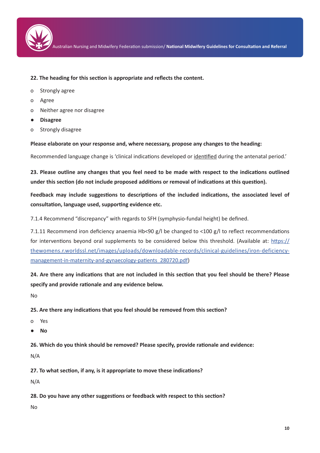

Australian Nursing and Midwifery Federation submission/ **National Midwifery Guidelines for Consultation and Referral**

#### **22. The heading for this section is appropriate and reflects the content.**

- o Strongly agree
- o Agree
- o Neither agree nor disagree
- **● Disagree**
- o Strongly disagree

**Please elaborate on your response and, where necessary, propose any changes to the heading:**

Recommended language change is 'clinical indications developed or identified during the antenatal period.'

**23. Please outline any changes that you feel need to be made with respect to the indications outlined under this section (do not include proposed additions or removal of indications at this question).**

**Feedback may include suggestions to descriptions of the included indications, the associated level of consultation, language used, supporting evidence etc.**

7.1.4 Recommend "discrepancy" with regards to SFH (symphysio-fundal height) be defined.

7.1.11 Recommend iron deficiency anaemia Hb<90 g/l be changed to <100 g/l to reflect recommendations for interventions beyond oral supplements to be considered below this threshold. (Available at: https:// thewomens.r.worldssl.net/images/uploads/downloadable-records/clinical-guidelines/iron-deficiencymanagement-in-maternity-and-gynaecology-patients\_280720.pdf)

**24. Are there any indications that are not included in this section that you feel should be there? Please specify and provide rationale and any evidence below.**

No

**25. Are there any indications that you feel should be removed from this section?**

- o Yes
- **● No**

**26. Which do you think should be removed? Please specify, provide rationale and evidence:**

N/A

**27. To what section, if any, is it appropriate to move these indications?**

N/A

**28. Do you have any other suggestions or feedback with respect to this section?**

No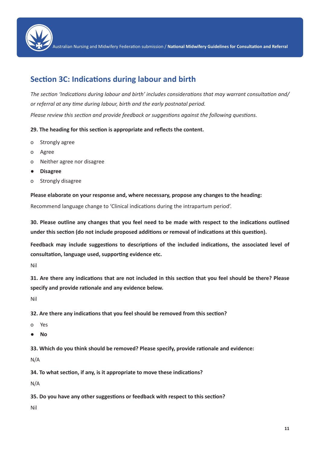

Australian Nursing and Midwifery Federation submission / **National Midwifery Guidelines for Consultation and Referral**

# **Section 3C: Indications during labour and birth**

*The section 'Indications during labour and birth' includes considerations that may warrant consultation and/ or referral at any time during labour, birth and the early postnatal period. Please review this section and provide feedback or suggestions against the following questions.*

## **29. The heading for this section is appropriate and reflects the content.**

- o Strongly agree
- o Agree
- o Neither agree nor disagree
- **● Disagree**
- o Strongly disagree

**Please elaborate on your response and, where necessary, propose any changes to the heading:**

Recommend language change to 'Clinical indications during the intrapartum period'.

**30. Please outline any changes that you feel need to be made with respect to the indications outlined under this section (do not include proposed additions or removal of indications at this question).**

**Feedback may include suggestions to descriptions of the included indications, the associated level of consultation, language used, supporting evidence etc.**

Nil

**31. Are there any indications that are not included in this section that you feel should be there? Please specify and provide rationale and any evidence below.**

Nil

**32. Are there any indications that you feel should be removed from this section?**

- o Yes
- **● No**

**33. Which do you think should be removed? Please specify, provide rationale and evidence:**

N/A

**34. To what section, if any, is it appropriate to move these indications?**

N/A

**35. Do you have any other suggestions or feedback with respect to this section?**

Nil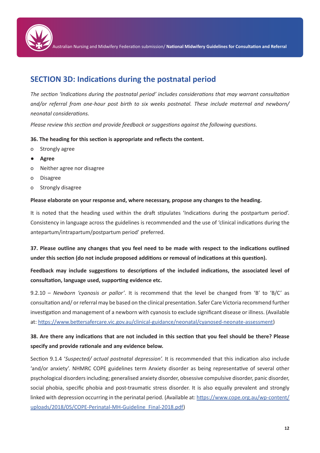

ustralian Nursing and Midwifery Federation submission/ National Midwifery Guidelines for Consultation and Referral

# **SECTION 3D: Indications during the postnatal period**

*The section 'Indications during the postnatal period' includes considerations that may warrant consultation and/or referral from one-hour post birth to six weeks postnatal. These include maternal and newborn/ neonatal considerations.*

*Please review this section and provide feedback or suggestions against the following questions.*

## **36. The heading for this section is appropriate and reflects the content.**

- o Strongly agree
- **● Agree**
- o Neither agree nor disagree
- o Disagree
- o Strongly disagree

#### **Please elaborate on your response and, where necessary, propose any changes to the heading.**

It is noted that the heading used within the draft stipulates 'Indications during the postpartum period'. Consistency in language across the guidelines is recommended and the use of 'clinical indications during the antepartum/intrapartum/postpartum period' preferred.

**37. Please outline any changes that you feel need to be made with respect to the indications outlined under this section (do not include proposed additions or removal of indications at this question).**

# **Feedback may include suggestions to descriptions of the included indications, the associated level of consultation, language used, supporting evidence etc.**

9.2.10 – *Newborn 'cyanosis or pallor'*. It is recommend that the level be changed from 'B' to 'B/C' as consultation and/ or referral may be based on the clinical presentation. Safer Care Victoria recommend further investigation and management of a newborn with cyanosis to exclude significant disease or illness. (Available at: https://www.bettersafercare.vic.gov.au/clinical-guidance/neonatal/cyanosed-neonate-assessment)

## **38. Are there any indications that are not included in this section that you feel should be there? Please specify and provide rationale and any evidence below.**

Section 9.1.4 '*Suspected/ actual postnatal depression'.* It is recommended that this indication also include 'and/or anxiety'. NHMRC COPE guidelines term Anxiety disorder as being representative of several other psychological disorders including; generalised anxiety disorder, obsessive compulsive disorder, panic disorder, social phobia, specific phobia and post-traumatic stress disorder. It is also equally prevalent and strongly linked with depression occurring in the perinatal period. (Available at: https://www.cope.org.au/wp-content/ uploads/2018/05/COPE-Perinatal-MH-Guideline\_Final-2018.pdf)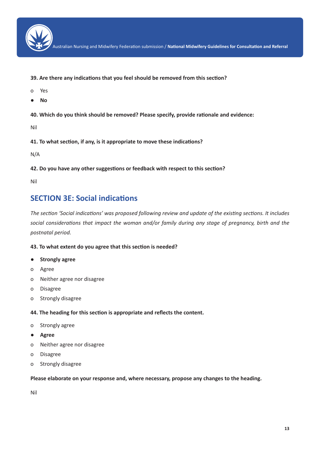

Australian Nursing and Midwifery Federation submission / **National Midwifery Guidelines for Consultation and Referral**

- **39. Are there any indications that you feel should be removed from this section?**
- o Yes
- **● No**

**40. Which do you think should be removed? Please specify, provide rationale and evidence:**

Nil

**41. To what section, if any, is it appropriate to move these indications?**

N/A

**42. Do you have any other suggestions or feedback with respect to this section?**

Nil

# **SECTION 3E: Social indications**

*The section 'Social indications' was proposed following review and update of the existing sections. It includes social considerations that impact the woman and/or family during any stage of pregnancy, birth and the postnatal period.*

## **43. To what extent do you agree that this section is needed?**

- **● Strongly agree**
- o Agree
- o Neither agree nor disagree
- o Disagree
- o Strongly disagree

#### **44. The heading for this section is appropriate and reflects the content.**

- o Strongly agree
- **● Agree**
- o Neither agree nor disagree
- o Disagree
- o Strongly disagree

#### **Please elaborate on your response and, where necessary, propose any changes to the heading.**

Nil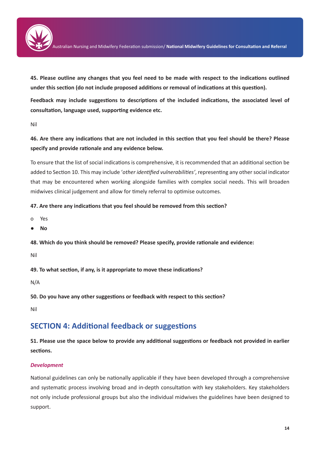

**45. Please outline any changes that you feel need to be made with respect to the indications outlined under this section (do not include proposed additions or removal of indications at this question).**

**Feedback may include suggestions to descriptions of the included indications, the associated level of consultation, language used, supporting evidence etc.**

Nil

**46. Are there any indications that are not included in this section that you feel should be there? Please specify and provide rationale and any evidence below.**

To ensure that the list of social indications is comprehensive, it is recommended that an additional section be added to Section 10. This may include '*other identified vulnerabilities'*, representing any other social indicator that may be encountered when working alongside families with complex social needs. This will broaden midwives clinical judgement and allow for timely referral to optimise outcomes.

## **47. Are there any indications that you feel should be removed from this section?**

- o Yes
- **● No**

**48. Which do you think should be removed? Please specify, provide rationale and evidence:**

Nil

**49. To what section, if any, is it appropriate to move these indications?**

N/A

**50. Do you have any other suggestions or feedback with respect to this section?**

Nil

# **SECTION 4: Additional feedback or suggestions**

**51. Please use the space below to provide any additional suggestions or feedback not provided in earlier sections.** 

## *Development*

National guidelines can only be nationally applicable if they have been developed through a comprehensive and systematic process involving broad and in-depth consultation with key stakeholders. Key stakeholders not only include professional groups but also the individual midwives the guidelines have been designed to support.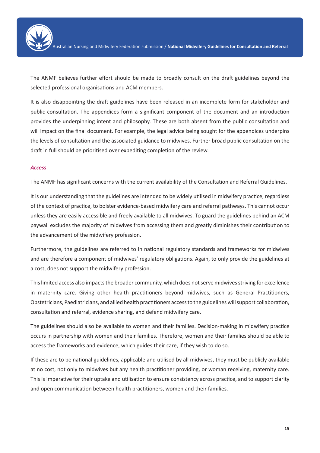

The ANMF believes further effort should be made to broadly consult on the draft guidelines beyond the selected professional organisations and ACM members.

It is also disappointing the draft guidelines have been released in an incomplete form for stakeholder and public consultation. The appendices form a significant component of the document and an introduction provides the underpinning intent and philosophy. These are both absent from the public consultation and will impact on the final document. For example, the legal advice being sought for the appendices underpins the levels of consultation and the associated guidance to midwives. Further broad public consultation on the draft in full should be prioritised over expediting completion of the review.

#### *Access*

The ANMF has significant concerns with the current availability of the Consultation and Referral Guidelines.

It is our understanding that the guidelines are intended to be widely utilised in midwifery practice, regardless of the context of practice, to bolster evidence-based midwifery care and referral pathways. This cannot occur unless they are easily accessible and freely available to all midwives. To guard the guidelines behind an ACM paywall excludes the majority of midwives from accessing them and greatly diminishes their contribution to the advancement of the midwifery profession.

Furthermore, the guidelines are referred to in national regulatory standards and frameworks for midwives and are therefore a component of midwives' regulatory obligations. Again, to only provide the guidelines at a cost, does not support the midwifery profession.

This limited access also impacts the broader community, which does not serve midwives striving for excellence in maternity care. Giving other health practitioners beyond midwives, such as General Practitioners, Obstetricians, Paediatricians, and allied health practitioners access to the guidelines will support collaboration, consultation and referral, evidence sharing, and defend midwifery care.

The guidelines should also be available to women and their families. Decision-making in midwifery practice occurs in partnership with women and their families. Therefore, women and their families should be able to access the frameworks and evidence, which guides their care, if they wish to do so.

If these are to be national guidelines, applicable and utilised by all midwives, they must be publicly available at no cost, not only to midwives but any health practitioner providing, or woman receiving, maternity care. This is imperative for their uptake and utilisation to ensure consistency across practice, and to support clarity and open communication between health practitioners, women and their families.